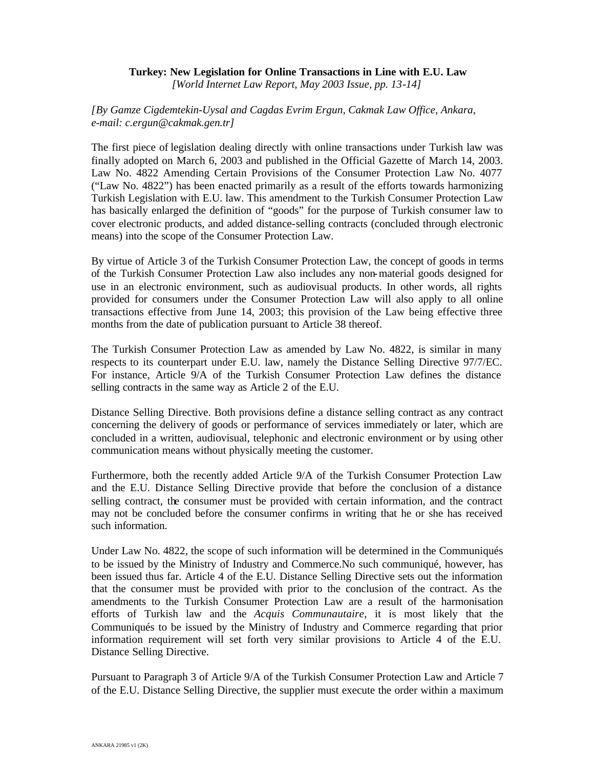## **Turkey: New Legislation for Online Transactions in Line with E.U. Law** *[World Internet Law Report, May 2003 Issue, pp. 13-14]*

*[By Gamze Cigdemtekin-Uysal and Cagdas Evrim Ergun, Cakmak Law Office, Ankara, e-mail: c.ergun@cakmak.gen.tr]*

The first piece of legislation dealing directly with online transactions under Turkish law was finally adopted on March 6, 2003 and published in the Official Gazette of March 14, 2003. Law No. 4822 Amending Certain Provisions of the Consumer Protection Law No. 4077 ("Law No. 4822") has been enacted primarily as a result of the efforts towards harmonizing Turkish Legislation with E.U. law. This amendment to the Turkish Consumer Protection Law has basically enlarged the definition of "goods" for the purpose of Turkish consumer law to cover electronic products, and added distance-selling contracts (concluded through electronic means) into the scope of the Consumer Protection Law.

By virtue of Article 3 of the Turkish Consumer Protection Law, the concept of goods in terms of the Turkish Consumer Protection Law also includes any non-material goods designed for use in an electronic environment, such as audiovisual products. In other words, all rights provided for consumers under the Consumer Protection Law will also apply to all online transactions effective from June 14, 2003; this provision of the Law being effective three months from the date of publication pursuant to Article 38 thereof.

The Turkish Consumer Protection Law as amended by Law No. 4822, is similar in many respects to its counterpart under E.U. law, namely the Distance Selling Directive 97/7/EC. For instance, Article 9/A of the Turkish Consumer Protection Law defines the distance selling contracts in the same way as Article 2 of the E.U.

Distance Selling Directive. Both provisions define a distance selling contract as any contract concerning the delivery of goods or performance of services immediately or later, which are concluded in a written, audiovisual, telephonic and electronic environment or by using other communication means without physically meeting the customer.

Furthermore, both the recently added Article 9/A of the Turkish Consumer Protection Law and the E.U. Distance Selling Directive provide that before the conclusion of a distance selling contract, the consumer must be provided with certain information, and the contract may not be concluded before the consumer confirms in writing that he or she has received such information.

Under Law No. 4822, the scope of such information will be determined in the Communiqués to be issued by the Ministry of Industry and Commerce.No such communiqué, however, has been issued thus far. Article 4 of the E.U. Distance Selling Directive sets out the information that the consumer must be provided with prior to the conclusion of the contract. As the amendments to the Turkish Consumer Protection Law are a result of the harmonisation efforts of Turkish law and the *Acquis Communautaire*, it is most likely that the Communiqués to be issued by the Ministry of Industry and Commerce regarding that prior information requirement will set forth very similar provisions to Article 4 of the E.U. Distance Selling Directive.

Pursuant to Paragraph 3 of Article 9/A of the Turkish Consumer Protection Law and Article 7 of the E.U. Distance Selling Directive, the supplier must execute the order within a maximum